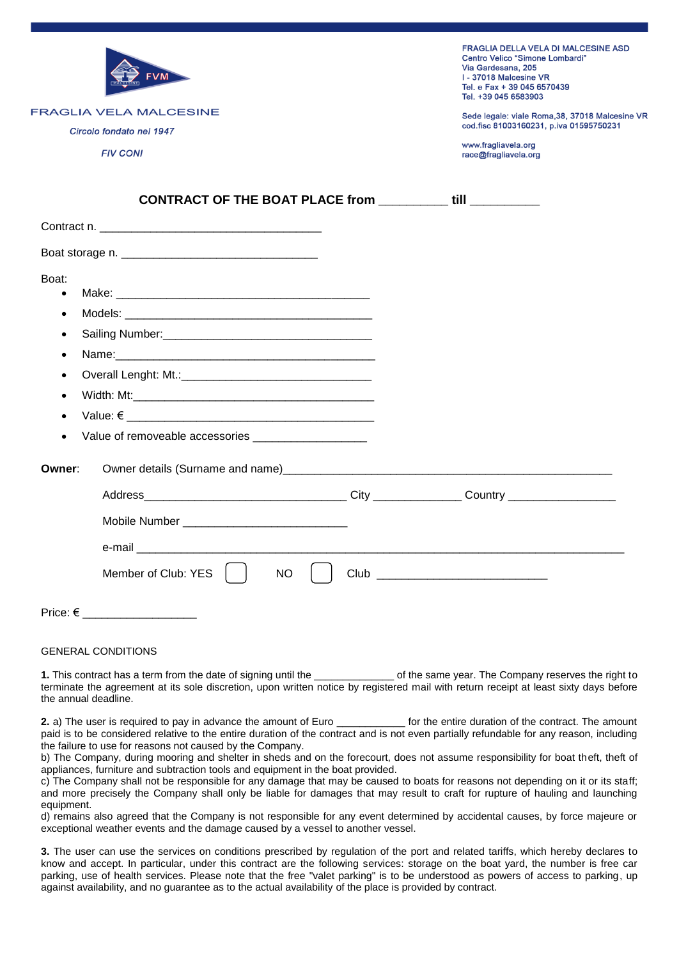| <b>FRAGLIA VELA MALCESINE</b><br>Circolo fondato nel 1947<br><b>FIV CONI</b> | <b>FRAGLIA DELLA VELA DI MALCESINE ASD</b><br><b>Centro Velico "Simone Lombardi"</b><br>Via Gardesana, 205<br>I - 37018 Malcesine VR<br>Tel. e Fax + 39 045 6570439<br>Tel. +39 045 6583903<br>Sede legale: viale Roma, 38, 37018 Malcesine VR<br>cod.fisc 81003160231, p.iva 01595750231<br>www.fragliavela.org<br>race@fragliavela.org |
|------------------------------------------------------------------------------|------------------------------------------------------------------------------------------------------------------------------------------------------------------------------------------------------------------------------------------------------------------------------------------------------------------------------------------|
| CONTRACT OF THE BOAT PLACE from ____________till ____________                |                                                                                                                                                                                                                                                                                                                                          |
|                                                                              |                                                                                                                                                                                                                                                                                                                                          |
|                                                                              |                                                                                                                                                                                                                                                                                                                                          |
| Boat:<br>$\bullet$                                                           |                                                                                                                                                                                                                                                                                                                                          |
| $\bullet$                                                                    |                                                                                                                                                                                                                                                                                                                                          |
|                                                                              |                                                                                                                                                                                                                                                                                                                                          |
|                                                                              |                                                                                                                                                                                                                                                                                                                                          |
|                                                                              |                                                                                                                                                                                                                                                                                                                                          |
|                                                                              |                                                                                                                                                                                                                                                                                                                                          |
|                                                                              |                                                                                                                                                                                                                                                                                                                                          |
| Value of removeable accessories _____________________                        |                                                                                                                                                                                                                                                                                                                                          |
| Owner:                                                                       |                                                                                                                                                                                                                                                                                                                                          |
|                                                                              |                                                                                                                                                                                                                                                                                                                                          |
|                                                                              |                                                                                                                                                                                                                                                                                                                                          |
| e-mail _                                                                     |                                                                                                                                                                                                                                                                                                                                          |
| Member of Club: YES<br><b>NO</b>                                             |                                                                                                                                                                                                                                                                                                                                          |
|                                                                              |                                                                                                                                                                                                                                                                                                                                          |
| <b>GENERAL CONDITIONS</b>                                                    |                                                                                                                                                                                                                                                                                                                                          |

**1.** This contract has a term from the date of signing until the **the same year.** The Company reserves the right to terminate the agreement at its sole discretion, upon written notice by registered mail with return receipt at least sixty days before the annual deadline.

**2.** a) The user is required to pay in advance the amount of Euro \_\_\_\_\_\_\_\_\_\_\_\_ for the entire duration of the contract. The amount paid is to be considered relative to the entire duration of the contract and is not even partially refundable for any reason, including the failure to use for reasons not caused by the Company.

b) The Company, during mooring and shelter in sheds and on the forecourt, does not assume responsibility for boat theft, theft of appliances, furniture and subtraction tools and equipment in the boat provided.

c) The Company shall not be responsible for any damage that may be caused to boats for reasons not depending on it or its staff; and more precisely the Company shall only be liable for damages that may result to craft for rupture of hauling and launching equipment.

d) remains also agreed that the Company is not responsible for any event determined by accidental causes, by force majeure or exceptional weather events and the damage caused by a vessel to another vessel.

**3.** The user can use the services on conditions prescribed by regulation of the port and related tariffs, which hereby declares to know and accept. In particular, under this contract are the following services: storage on the boat yard, the number is free car parking, use of health services. Please note that the free "valet parking" is to be understood as powers of access to parking, up against availability, and no guarantee as to the actual availability of the place is provided by contract.